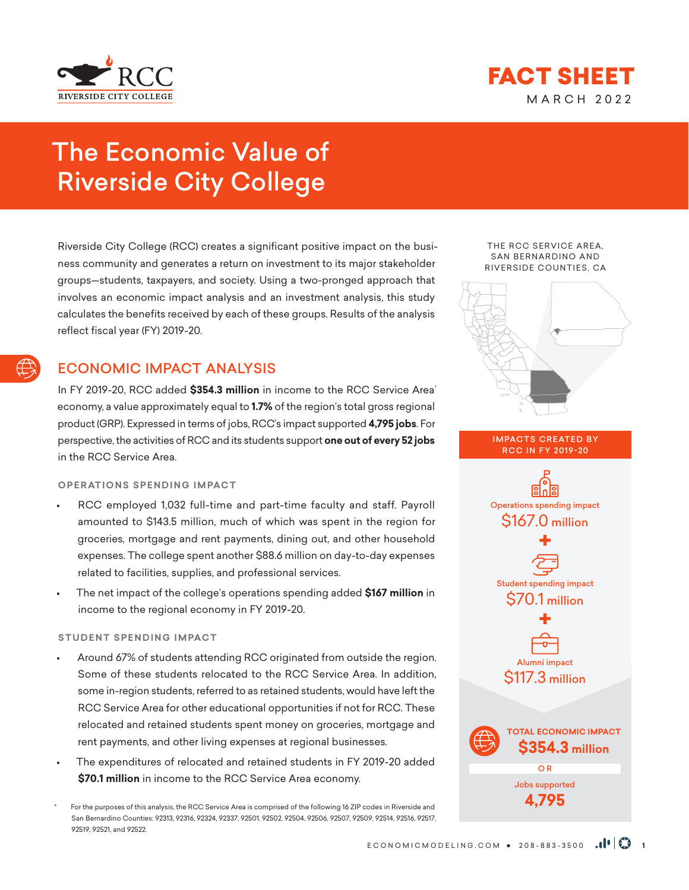



# The Economic Value of Riverside City College

Riverside City College (RCC) creates a significant positive impact on the business community and generates a return on investment to its major stakeholder groups—students, taxpayers, and society. Using a two-pronged approach that involves an economic impact analysis and an investment analysis, this study calculates the benefits received by each of these groups. Results of the analysis reflect fiscal year (FY) 2019-20.

# ECONOMIC IMPACT ANALYSIS

In FY 2019-20, RCC added **\$354.3 million** in income to the RCC Service Area\* economy, a value approximately equal to **1.7%** of the region's total gross regional product (GRP). Expressed in terms of jobs, RCC's impact supported **4,795 jobs**. For perspective, the activities of RCC and its students support **one out of every 52 jobs** in the RCC Service Area.

## **OPERATIONS SPENDING IMPACT**

- RCC employed 1,032 full-time and part-time faculty and staff. Payroll amounted to \$143.5 million, much of which was spent in the region for groceries, mortgage and rent payments, dining out, and other household expenses. The college spent another \$88.6 million on day-to-day expenses related to facilities, supplies, and professional services.
- The net impact of the college's operations spending added **\$167 million** in income to the regional economy in FY 2019-20.

## **STUDENT SPENDING IMPACT**

- Around 67% of students attending RCC originated from outside the region. Some of these students relocated to the RCC Service Area. In addition, some in-region students, referred to as retained students, would have left the RCC Service Area for other educational opportunities if not for RCC. These relocated and retained students spent money on groceries, mortgage and rent payments, and other living expenses at regional businesses.
- The expenditures of relocated and retained students in FY 2019-20 added **\$70.1 million** in income to the RCC Service Area economy.

For the purposes of this analysis, the RCC Service Area is comprised of the following 16 ZIP codes in Riverside and San Bernardino Counties: 92313, 92316, 92324, 92337, 92501, 92502, 92504, 92506, 92507, 92509, 92514, 92516, 92517, 92519, 92521, and 92522.

THE RCC SERVICE AREA, SAN BERNARDINO AND RIVERSIDE COUNTIES, CA



**IMPACTS CREATED BY** RCC IN FY 2019-20